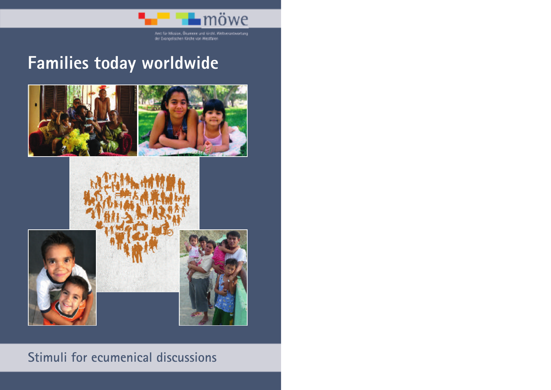

Ant für Mission, Ölumene und kirchl. Weltverantwortung<br>der Evangelischen Kirche von Westfalen

# **Families today worldwide**





# **Stimuli for ecumenical discussions**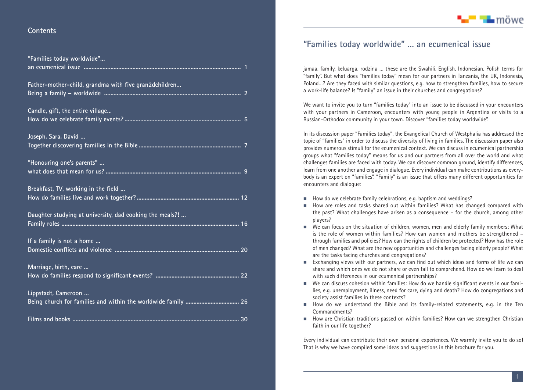### **Contents**

| "Families today worldwide"                               |
|----------------------------------------------------------|
| Father-mother-child, grandma with five gran2dchildren    |
| Candle, gift, the entire village                         |
| Joseph, Sara, David                                      |
| "Honouring one's parents"                                |
| Breakfast, TV, working in the field                      |
| Daughter studying at university, dad cooking the meals?! |
| If a family is not a home                                |
| Marriage, birth, care                                    |
| Lippstadt, Cameroon                                      |
|                                                          |

### **"Families today worldwide" … an ecumenical issue**

jamaa, family, keluarga, rodzina … these are the Swahili, English, Indonesian, Polish terms for "family". But what does "families today" mean for our partners in Tanzania, the UK, Indonesia, Poland…? Are they faced with similar questions, e.g. how to strengthen families, how to secure a work-life balance? Is "family" an issue in their churches and congregations?

We want to invite you to turn "families today" into an issue to be discussed in your encounters with your partners in Cameroon, encounters with young people in Argentina or visits to a Russian-Orthodox community in your town. Discover "families today worldwide".

In its discussion paper "Families today", the Evangelical Church of Westphalia has addressed the topic of "families" in order to discuss the diversity of living in families. The discussion paper also provides numerous stimuli for the ecumenical context. We can discuss in ecumenical partnership groups what "families today" means for us and our partners from all over the world and what challenges families are faced with today. We can discover common ground, identify differences, learn from one another and engage in dialogue. Every individual can make contributions as everybody is an expert on "families". "Family" is an issue that offers many different opportunities for encounters and dialogue:

- $\blacksquare$  How do we celebrate family celebrations, e.g. baptism and weddings?
- How are roles and tasks shared out within families? What has changed compared with the past? What challenges have arisen as a consequence – for the church, among other players?
- $\blacksquare$  We can focus on the situation of children, women, men and elderly family members: What is the role of women within families? How can women and mothers be strengthened – through families and policies? How can the rights of children be protected? How has the role of men changed? What are the new opportunities and challenges facing elderly people? What are the tasks facing churches and congregations?
- $\blacksquare$  Exchanging views with our partners, we can find out which ideas and forms of life we can share and which ones we do not share or even fail to comprehend. How do we learn to deal with such differences in our ecumenical partnerships?
- We can discuss cohesion within families: How do we handle significant events in our families, e.g. unemployment, illness, need for care, dying and death? How do congregations and society assist families in these contexts?
- How do we understand the Bible and its family-related statements, e.g. in the Ten Commandments?
- How are Christian traditions passed on within families? How can we strengthen Christian faith in our life together?

Every individual can contribute their own personal experiences. We warmly invite you to do so! That is why we have compiled some ideas and suggestions in this brochure for you.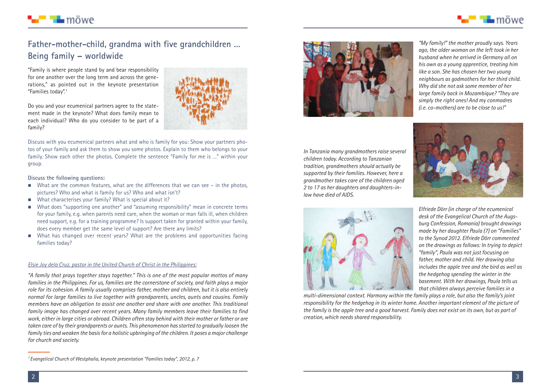

### **Father-mother-child, grandma with five grandchildren … Being family – worldwide**

"Family is where people stand by and bear responsibility for one another over the long term and across the generations," as pointed out in the keynote presentation "Families today". *1*

Do you and your ecumenical partners agree to the statement made in the keynote? What does family mean to each individual? Who do you consider to be part of a family?

Discuss with you ecumenical partners what and who is family for you: Show your partners photos of your family and ask them to show you some photos. Explain to them who belongs to your family. Show each other the photos. Complete the sentence "Family for me is …" within your group.

#### **Discuss the following questions:**

■ ¶∎ möwe

2

- What are the common features, what are the differences that we can see in the photos, pictures? Who and what is family for us? Who and what isn't?
- What characterises your family? What is special about it?
- - What does "supporting one another" and "assuming responsibility" mean in concrete terms for your family, e.g. when parents need care, when the woman or man falls ill, when children need support, e.g. for a training programme? Is support taken for granted within your family, does every member get the same level of support? Are there any limits?
- **If** What has changed over recent years? What are the problems and opportunities facing families today?

### *Elsie Joy dela Cruz, pastor in the United Church of Christ in the Philippines:*

*"A family that prays together stays together." This is one of the most popular mottos of many families in the Philippines. For us, families are the cornerstone of society, and faith plays a major role for its cohesion. A family usually comprises father, mother and children, but it is also entirely normal for large families to live together with grandparents, uncles, aunts and cousins. Family members have an obligation to assist one another and share with one another. This traditional family image has changed over recent years. Many family members leave their families to find* work, either in large cities or abroad. Children often stay behind with their mother or father or are *taken care of by their grandparents or aunts. This phenomenon hasstarted to gradually loosen the family ties andweaken the basisfor a holistic upbringing of the children. It poses a major challenge for church and society.*



*"My family!" the mother proudly says. Years ago, the older woman on the left took in her husband when he arrived in Germany all on his own as a young apprentice, treating him like a son. She has chosen her two young neighbours as godmothers for her third child. Why did she not ask some member of her large family back in Mozambique? "They are simply the right ones! And my conmadres (i.e. co-mothers) are to be close to us!"*

*In Tanzania many grandmothers raise several children today. According to Tanzanian tradition, grandmothers should actually be supported by their families. However, here a grandmother takes care of the children aged 2 to 17 as her daughters and daughters-inlaw have died of AIDS.*





*multi-dimensional context. Harmony within the family plays a role, but also the family's joint responsibility for the hedgehog in its winter home. Another important element of the picture of* the family is the apple tree and a good harvest. Family does not exist on its own, but as part of *creation, which needs shared responsibility.*

*Elfriede Dörr (in charge of the ecumenical desk of the Evangelical Church of the Augsburg Confession, Romania) brought drawings made by her daughter Paula (7) on "Families" to the Synod 2012. Elfriede Dörr commented on the drawings as follows: In trying to depict "family", Paula was not just focusing on father, mother and child. Her drawing also includes the apple tree and the bird as well as the hedgehog spending the winter in the basement. With her drawings, Paula tells us that children always perceive families in a*

3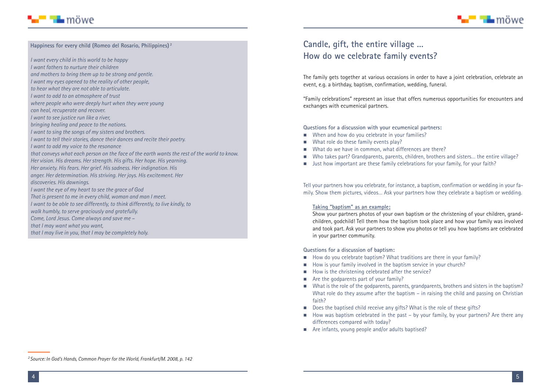

#### **Happiness for every child (Romeo del Rosario, Philippines) <sup>2</sup>**

*I want every child in this world to be happy*

- *I want fathers to nurture their children and mothers to bring them up to be strong and gentle.*
- *I want my eyes opened to the reality of other people,*
- *to hear what they are not able to articulate.*
- *I want to add to an atmosphere of trust*
- *where people who were deeply hurt when they were young*
- *can heal, recuperate and recover.*
- *I want to see justice run like a river,*
- *bringing healing and peace to the nations.*
- *I want to sing the songs of my sisters and brothers.*
- *I want to tell their stories, dance their dances and recite their poetry.*
- *I want to add my voice to the resonance*
- *that conveys what each person on the face of the earth wants the rest of the world to know. Her vision. His dreams. Her strength. His gifts. Her hope. His yearning.*
- *Her anxiety. His fears. Her grief. His sadness. Her indignation. His*
- *anger. Her determination. His striving. Her joys. His excitement. Her*
- *discoveries. His dawnings.*
- *I want the eye of my heart to see the grace of God*
- *That is present to me in every child, woman and man I meet.*
- *I want to be able to see differently, to think differently, to live kindly, to*
- *walk humbly, to serve graciously and gratefully.*
- *Come, Lord Jesus. Come always and save me –*
- *that I may want what you want,*
- *that I may live in you, that I may be completely holy.*

### **Candle, gift, the entire village … How do we celebrate family events?**

The family gets together at various occasions in order to have a joint celebration, celebrate an event, e.g. a birthday, baptism, confirmation, wedding, funeral.

"Family celebrations" represent an issue that offers numerous opportunities for encounters and exchanges with ecumenical partners.

**Questions for a discussion with your ecumenical partners:**

- **Nhen and how do you celebrate in your families?**
- **Netable 19 and 15 M** and these family events play?
- What do we have in common, what differences are there?
- -Who takes part? Grandparents, parents, children, brothers and sisters… the entire village?
- Just how important are these family celebrations for your family, for your faith?

Tell your partners how you celebrate, for instance, a baptism, confirmation or wedding in your family. Show them pictures, videos… Ask your partners how they celebrate a baptism or wedding.

#### **Taking "baptism" as an example:**

Show your partners photos of your own baptism or the christening of your children, grandchildren, godchild! Tell them how the baptism took place and how your family was involved and took part. Ask your partners to show you photos or tell you how baptisms are celebrated in your partner community.

**Questions for a discussion of baptism:**

- How do you celebrate baptism? What traditions are there in your family?
- How is your family involved in the baptism service in your church?
- $\blacksquare$  How is the christening celebrated after the service?
- **E** Are the godparents part of your family?
- **Net a** What is the role of the godparents, parents, grandparents, brothers and sisters in the baptism? What role do they assume after the baptism – in raising the child and passing on Christian faith?
- **Does the baptised child receive any gifts? What is the role of these gifts?**
- How was baptism celebrated in the past by your family, by your partners? Are there any differences compared with today?
- **Are infants, young people and/or adults baptised?**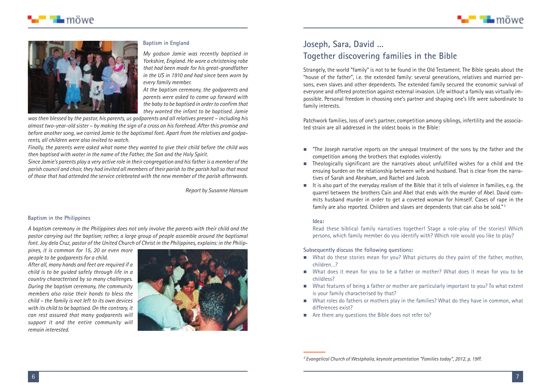

#### **Baptism in England**

*My godson Jamie was recently baptised in Yorkshire, England. He wore a christening robe that had been made for his great-grandfather in the US in 1910 and had since been worn by every family member.*

*At the baptism ceremony, the godparents and parents were asked to come up forward with the baby to be baptised in order to confirm that they wanted the infant to be baptised. Jamie*

*was then blessed by the pastor, his parents, us godparents and all relatives present – including his almost two-year-old sister – by making the sign of a cross on his forehead. After this promise and before another song, we carried Jamie to the baptismal font. Apart from the relatives and godparents, all children were also invited to watch.*

*Finally, the parents were asked what name they wanted to give their child before the child was then baptised with water in the name of the Father, the Son and the Holy Spirit.*

Since Jamie's parents play a very active role in their congregation and his father is a member of the parish council and choir, they had invited all members of their parish to the parish hall so that most *of those that had attended the service celebrated with the new member of the parish afterwards.*

*Report by Susanne Hansum*

#### **Baptism in the Philippines**

*A baptism ceremony in the Philippines does not only involve the parents with their child and the pastor carrying out the baptism; rather, a large group of people assemble around the baptismal* font. Joy dela Cruz, pastor of the United Church of Christ in the Philippines, explains: in the Philip-

*pines, it is common for 15, 20 or even more people to be godparents for a child. After all, many hands and feet are required if a child is to be guided safely through life in a country characterised by so many challenges. During the baptism ceremony, the community members also raise their hands to bless the child – the family is not left to its own devices with its child to be baptised. On the contrary, it can rest assured that many godparents will support it and the entire community will remain interested.*



### **Joseph, Sara, David … Together discovering families in the Bible**

Strangely, the world "family" is not to be found in the Old Testament. The Bible speaks about the "house of the father", i.e. the extended family: several generations, relatives and married persons, even slaves and other dependents. The extended family secured the economic survival of everyone and offered protection against external invasion. Life without a family was virtually impossible. Personal freedom in choosing one's partner and shaping one's life were subordinate to family interests.

Patchwork families, loss of one's partner, competition among siblings, infertility and the associated strain are all addressed in the oldest books in the Bible:

- - "The Joseph narrative reports on the unequal treatment of the sons by the father and the competition among the brothers that explodes violently.
- Theologically significant are the narratives about unfulfilled wishes for a child and the ensuing burden on the relationship between wife and husband. That is clear from the narratives of Sarah and Abraham, and Rachel and Jacob.
- $\blacksquare$  It is also part of the everyday realism of the Bible that it tells of violence in families, e.g. the quarrel between the brothers Cain and Abel that ends with the murder of Abel. David commits husband murder in order to get a coveted woman for himself. Cases of rape in the family are also reported. Children and slaves are dependents that can also be sold." <sup>3</sup>

#### **Idea:**

Read these biblical family narratives together! Stage a role-play of the stories! Which persons, which family member do you identify with? Which role would you like to play?

#### **Subsequently discuss the following questions:**

- What do these stories mean for you? What pictures do they paint of the father, mother, children…?
- What does it mean for you to be a father or mother? What does it mean for you to be childless?
- **Net The U** Mat features of being a father or mother are particularly important to you? To what extent is your family characterised by that?
- $\quad \blacksquare$  What roles do fathers or mothers play in the families? What do they have in common, what differences exist?
- **E** Are there any questions the Bible does not refer to?

*<sup>3</sup> Evangelical Church of Westphalia, keynote presentation "Families today", 2012, p. 19ff.*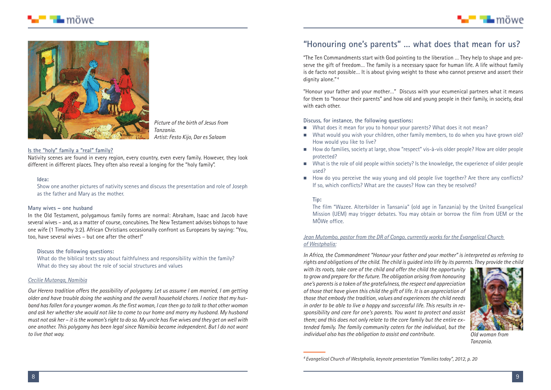





*Picture of the birth of Jesus from Tanzania. Artist: Festo Kijo, Dar es Salaam*

#### **Is the "holy" family a "real" family?**

Nativity scenes are found in every region, every country, even every family. However, they look different in different places. They often also reveal a longing for the "holy family".

#### **Idea:**

Show one another pictures of nativity scenes and discuss the presentation and role of Joseph as the father and Mary as the mother.

#### **Many wives – one husband**

In the Old Testament, polygamous family forms are normal: Abraham, Isaac and Jacob have several wives – and, as a matter of course, concubines. The New Testament advises bishops to have one wife (1 Timothy 3:2). African Christians occasionally confront us Europeans by saying: "You, too, have several wives – but one after the other!"

#### **Discuss the following questions:**

What do the biblical texts say about faithfulness and responsibility within the family? What do they say about the role of social structures and values

#### *Cecilie Mutanga, Namibia*

*Our Herero tradition offers the possibility of polygamy. Let us assume I am married, I am getting older and have trouble doing the washing and the overall household chores. I notice that my husband hasfallen for a youngerwoman. Asthe firstwoman, I can then go to talk to that otherwoman and ask her whether she would not like to come to our home and marry my husband. My husband must not ask her – itisthewoman'srightto do so. My uncle hasfivewives and they get onwellwith one another. This polygamy has been legal since Namibia became independent. But I do not want to live that way.*

### **"Honouring one's parents" … what does that mean for us?**

"The Ten Commandments start with God pointing to the liberation … They help to shape and preserve the gift of freedom… The family is a necessary space for human life. A life without family is de facto not possible… It is about giving weight to those who cannot preserve and assert their dignity alone."<sup>4</sup>

"Honour your father and your mother…" Discuss with your ecumenical partners what it means for them to "honour their parents" and how old and young people in their family, in society, deal with each other.

**Discuss, for instance, the following questions:**

- $\quad \blacksquare$  What does it mean for you to honour your parents? What does it not mean?
- $\blacksquare$  What would you wish your children, other family members, to do when you have grown old? How would you like to live?
- How do families, society at large, show "respect" vis-à-vis older people? How are older people protected?
- What is the role of old people within society? Is the knowledge, the experience of older people used?
- - How do you perceive the way young and old people live together? Are there any conflicts? If so, which conflicts? What are the causes? How can they be resolved?

#### **Tip:**

The film "Wazee. Alterbilder in Tansania" (old age in Tanzania) by the United Evangelical Mission (UEM) may trigger debates. You may obtain or borrow the film from UEM or the MÖWe office.

#### *Jean Mutombo, pastor from the DR of Congo, currently works for the Evangelical Church of Westphalia:*

*In Africa, the Commandment "Honour your father and your mother" is interpreted as referring to* rights and obligations of the child. The child is guided into life by its parents. They provide the child

*with its roots, take care of the child and offer the child the opportunity to growand prepare forthe future. The obligation arising from honouring one's parentsis a token of the gratefulness, the respect and appreciation of those that have given this child the gift of life. It is an appreciation of those that embody the tradition, values and experiences the child needs in order to be able to live a happy and successful life. This results in responsibility and care for one's parents. You want to protect and assist them; and this does not only relate to the core family but the entire extended family. The family community caters for the individual, but the individual also has the obligation to assist and contribute.*



*Old woman from Tanzania.*

*<sup>4</sup> Evangelical Church of Westphalia, keynote presentation "Families today", 2012, p. 20*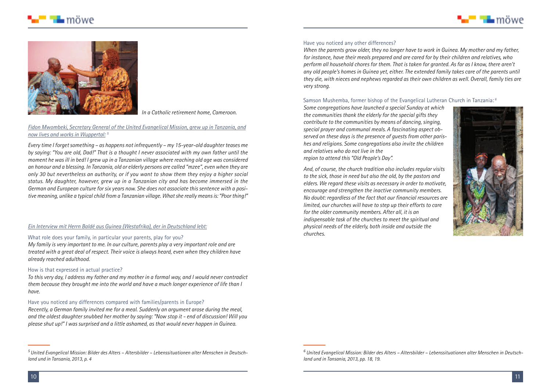





*In a Catholic retirement home, Cameroon.*

#### *Fidon Mwombeki, Secretary General of the United Evangelical Mission, grew up in Tanzania, and now lives and works in Wuppertal: <sup>5</sup>*

*Every time I forgetsomething – as happens not infrequently – my 15-year-old daughter teases me* by saying: "You are old, Dad!" That is a thought I never associated with my own father until the moment he was ill in bed! I arew up in a Tanzanian village where reaching old gae was considered an honour and a blessing. In Tanzania, old or elderly persons are called "mzee", even when they are *only 30 but nevertheless an authority, or if you want to show them they enjoy a higher social status. My daughter, however, grew up in a Tanzanian city and has become immersed in the German and European culture for six years now. She does not associate this sentence with a positive meaning, unlike a typical child from a Tanzanian village. Whatshe really meansis:"Poor thing!"*

#### *Ein Interview mit Herrn Baldé aus Guinea (Westafrika), der in Deutschland lebt:*

#### What role does your family, in particular your parents, play for you?

*My family is very important to me. In our culture, parents play a very important role and are treated with a great deal of respect. Their voice is always heard, even when they children have already reached adulthood.*

#### How is that expressed in actual practice?

To this very day, I address my father and my mother in a formal way, and I would never contradict *them because they brought me into the world and have a much longer experience of life than I have.*

#### Have you noticed any differences compared with families/parents in Europe?

*Recently, a German family invited me for a meal. Suddenly an argument arose during the meal, and the oldest daughter snubbed her mother by saying: "Now stop it - end of discussion! Will you please shut up!" I was surprised and a little ashamed, as that would never happen in Guinea*.

#### Have you noticed any other differences?

*When the parents grow older, they no longer have to work in Guinea. My mother and my father, for instance, have their meals prepared and are cared for by their children and relatives, who perform all household chores for them. That is taken for granted. As far as I know, there aren't any old people's homes in Guinea yet, either. The extended family takes care of the parents until they die, with nieces and nephews regarded as their own children as well. Overall, family ties are very strong.*

#### Samson Mushemba, former bishop of the Evangelical Lutheran Church in Tanzania: *<sup>6</sup>*

*Some congregations have launched a special Sunday at which the communities thank the elderly for the special gifts they contribute to the communities by means of dancing, singing, special prayer and communal meals. A fascinating aspect observed on these days is the presence of guests from other parishes and religions. Some congregations also invite the children and relatives who do not live in the region to attend this "Old People's Day".*



*And, of course, the church tradition also includes regular visits to the sick, those in need but also the old, by the pastors and elders. We regard these visits as necessary in order to motivate, encourage and strengthen the inactive community members. No doubt: regardless of the fact that our financial resources are limited, our churches will have to step up their efforts to care for the older community members. After all, it is an indispensable task of the churches to meet the spiritual and physical needs of the elderly, both inside and outside the churches.*

*<sup>5</sup> United Evangelical Mission: Bilder des Alters – Altersbilder – Lebenssituationen alter Menschen in Deutschland und in Tansania, 2013, p. 4*

*<sup>6</sup> United Evangelical Mission: Bilder des Alters – Altersbilder – Lebenssituationen alter Menschen in Deutschland und in Tansania, 2013, pp. 18, 19.*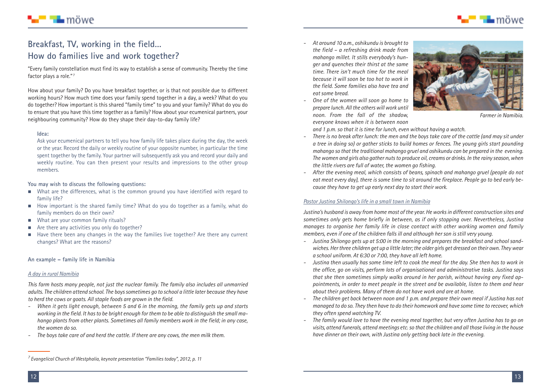

# ■ ¶∎ möwe

### **Breakfast, TV, working in the field… How do families live and work together?**

"Every family constellation must find its way to establish a sense of community. Thereby the time factor plays a role."<sup>7</sup>

How about your family? Do you have breakfast together, or is that not possible due to different working hours? How much time does your family spend together in a day, a week? What do you do together? How important is this shared "family time" to you and your family? What do you do to ensure that you have this time together as a family? How about your ecumenical partners, your neighbouring community? How do they shape their day-to-day family life?

#### **Idea:**

Ask your ecumenical partners to tell you how family life takes place during the day, the week or the year. Record the daily or weekly routine of your opposite number, in particular the time spent together by the family. Your partner will subsequently ask you and record your daily and weekly routine. You can then present your results and impressions to the other group members.

#### **You may wish to discuss the following questions:**

- $\quad \blacksquare$  What are the differences, what is the common ground you have identified with regard to family life?
- How important is the shared family time? What do you do together as a family, what do family members do on their own?
- **Netally Millon** Common family rituals?
- -Are there any activities you only do together?
- - Have there been any changes in the way the families live together? Are there any current changes? What are the reasons?

#### **An example – family life in Namibia**

#### *A day in rural Namibia*

*This farm hosts many people, not just the nuclear family. The family also includes all unmarried adults. The children attend school. The boyssometimes go to school a little later because they have to herd the cows or goats. All staple foods are grown in the field.*

- *- When it gets light enough, between 5 and 6 in the morning, the family gets up and starts* working in the field. It has to be bright enough for them to be able to distinguish the small ma*hango plants from other plants. Sometimes all family members work in the field; in any case, the women do so.*
- *- The boys take care of and herd the cattle. If there are any cows, the men milk them.*
- *- At around 10 a.m., oshikundu is brought to the field – a refreshing drink made from mahango millet. It stills everybody's hunger and quenches their thirst at the same time. There isn't much time for the meal because it will soon be too hot to work in the field. Some families also have tea and eat some bread.*
- *- One of the women will soon go home to prepare lunch. Allthe otherswillwork until noon. From the fall of the shadow, everyone knows when it is between noon*



*Farmer in Namibia.*

*and 1 p.m. so that it is time for lunch, even without having a watch.*

- There is no break after lunch: the men and the boys take care of the cattle (and may sit under *a tree in doing so) or gather sticks to build homes or fences. The young girls start pounding mahango so thatthe traditional mahango gruel and oshikundu can be prepared in the evening. Thewomen and girls also gather nutsto produce oil, creams or drinks. In the rainy season,when the little rivers are full of water, the women go fishing.*
- *- After the evening meal, which consists of beans, spinach and mahango gruel (people do not* eat meat every day), there is some time to sit around the fireplace. People go to bed early be*cause they have to get up early next day to start their work.*

#### *Pastor Justina Shilongo's life in a small town in Namibia*

*Justina's husband is away from home most of the year. Heworksin different construction sites and sometimes only gets home briefly in between, as if only stopping over. Nevertheless, Justina manages to organise her family life in close contact with other working women and family members, even if one of the children falls ill and although her son is still very young.*

- *- Justina Shilongo gets up at 5:00 in the morning and prepares the breakfast and school sandwiches. Herthree children get up a little later;the older girls get dressed on their own. Theywear a school uniform. At 6:30 or 7:00, they have all left home.*
- Justina then usually has some time left to cook the meal for the day. She then has to work in *the office, go on visits, perform lots of organisational and administrative tasks. Justina says that she then sometimes simply walks around in her parish, without having any fixed appointments, in order to meet people in the street and be available, listen to them and hear about their problems. Many of them do not have work and are at home.*
- The children get back between noon and 1 p.m. and prepare their own meal if Justina has not *managed to do so. They then have to do their homework and have some time to recover, which they often spend watching TV.*
- The family would love to have the evening meal together, but very often Justing has to go on *visits, attend funerals, attend meetings etc.so thatthe children and allthose living in the house have dinner on their own, with Justina only getting back late in the evening.*

*<sup>7</sup> Evangelical Church of Westphalia, keynote presentation "Families today", 2012, p. 11*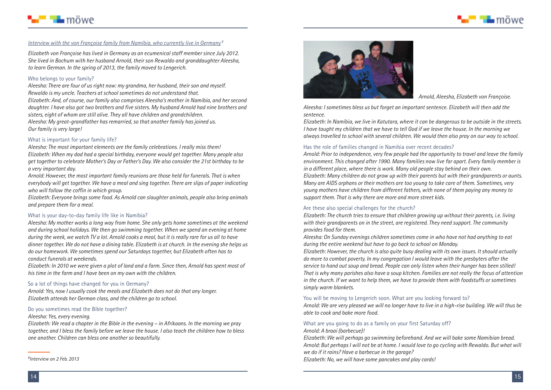



#### *Interview with the von Françoise family from Namibia, who currently live in Germany <sup>8</sup>*

*Elizabeth von Françoise has lived in Germany as an ecumenical staff member since July 2012. She lived in Bochum with her husband Arnold, their son Rewaldo and granddaughter Aleesha, to learn German. In the spring of 2013, the family moved to Lengerich.*

#### Who belongs to your family?

*Aleesha: There are four of us right now: my grandma, her husband, their son and myself. Rewaldo is my uncle. Teachers at school sometimes do not understand that. Elizabeth: And, of course, our family also comprises Aleesha's mother in Namibia, and her second daughter. I have also got two brothers and five sisters. My husband Arnold had nine brothers and sisters, eight of whom are still alive. They all have children and grandchildren. Aleesha: My great-grandfather has remarried, so that another family has joined us. Our family is very large!*

#### What is important for your family life?

*Aleesha: The most important elements are the family celebrations. I really miss them! Elizabeth: When my dad had a special birthday, everyone would get together. Many people also get together to celebrate Mother's Day or Father's Day. We also consider the 21st birthday to be a very important day.*

*Arnold: However, the most important family reunions are those held for funerals. That is when everybody will get together. We have a meal and sing together. There are slips of paper indicating who will follow the coffin in which group.*

*Elizabeth: Everyone brings some food. As Arnold can slaughter animals, people also bring animals and prepare them for a meal.*

#### What is your day-to-day family life like in Namibia?

*Aleesha: My mother works a long way from home. She only gets home sometimes at the weekend and during school holidays. We then go swimming together. When we spend an evening at home* during the week, we watch TV a lot. Arnold cooks a meal, but it is really rare for us all to have dinner together. We do not have a dining table. Elizabeth is at church. In the evening she helps us *do our homework. We sometimes spend our Saturdays together, but Elizabeth often has to conduct funerals at weekends.*

Elizabeth: In 2010 we were given a plot of land and a farm. Since then, Arnold has spent most of *his time in the farm and I have been on my own with the children.*

#### So a lot of things have changed for you in Germany?

*Arnold: Yes, now I usually cook the meals and Elizabeth does not do that any longer. Elizabeth attends her German class, and the children go to school.*

#### Do you sometimes read the Bible together?

#### *Aleesha: Yes, every evening.*

Elizabeth: We read a chapter in the Bible in the evening – in Afrikaans. In the morning we pray together, and I bless the family before we leave the house. I also teach the children how to bless *one another. Children can bless one another so beautifully.*

*8 Interview on 2 Feb. 2013*



*Arnold, Aleesha, Elizabeth von Françoise.*

*Aleesha: I sometimes bless us but forget an important sentence. Elizabeth will then add the sentence.*

Elizabeth: In Namibia, we live in Katutara, where it can be dangerous to be outside in the streets. I have taught my children that we have to tell God if we leave the house. In the morning we *always travelled to school with several children. We would then also pray on our way to school.*

#### Has the role of families changed in Namibia over recent decades?

*Arnold: Prior to independence, very few people had the opportunity to travel and leave the family environment. This changed after 1990. Many families now live far apart. Every family member is in a different place, where there is work. Many old people stay behind on their own. Elizabeth: Many children do not grow up with their parents but with their grandparents or aunts. Many are AIDS orphans or their mothers are too young to take care of them. Sometimes, very young mothers have children from different fathers, with none of them paying any money to support them. That is why there are more and more street kids.*

#### Are these also special challenges for the church?

*Elizabeth: The church tries to ensure that children growing up without their parents, i.e. living with their grandparents on in the street, are registered. They need support. The community provides food for them.*

*Aleesha: On Sunday evenings children sometimes come in who have not had anything to eat during the entire weekend but have to go back to school on Monday.*

*Elizabeth: However, the church is also quite busy dealing with its own issues. It should actually do more to combat poverty. In my congregation I would leave with the presbyters after the service to hand out soup and bread. People can only listen when their hunger has been stilled! That is why many parishes also have a soup kitchen. Families are not really the focus of attention in the church. If we want to help them, we have to provide them with foodstuffs or sometimes simply warm blankets.*

#### You will be moving to Lengerich soon. What are you looking forward to?

Arnold: We are very pleased we will no longer have to live in a high-rise building. We will thus be *able to cook and bake more food.*

#### What are you going to do as a family on your first Saturday off?

*Arnold: A braai (barbecue)!*

*Elizabeth: We will perhaps go swimming beforehand. And we will bake some Namibian bread.* Arnold: But perhaps I will not be at home. I would love to go cycling with Rewaldo. But what will *we do if it rains? Have a barbecue in the garage? Elizabeth: No, we will have some pancakes and play cards!*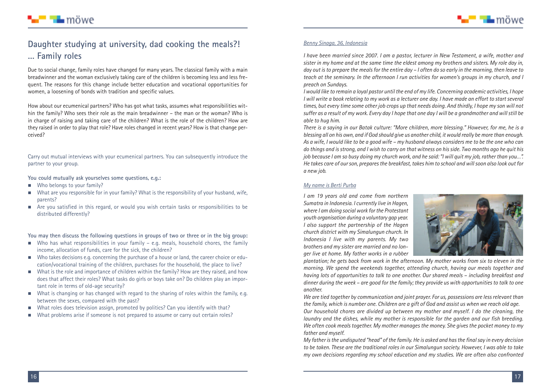

### **Daughter studying at university, dad cooking the meals?! … Family roles**

Due to social change, family roles have changed for many years. The classical family with a main breadwinner and the woman exclusively taking care of the children is becoming less and less frequent. The reasons for this change include better education and vocational opportunities for women, a loosening of bonds with tradition and specific values.

How about our ecumenical partners? Who has got what tasks, assumes what responsibilities within the family? Who sees their role as the main breadwinner – the man or the woman? Who is in charge of raising and taking care of the children? What is the role of the children? How are they raised in order to play that role? Have roles changed in recent years? How is that change perceived?

Carry out mutual interviews with your ecumenical partners. You can subsequently introduce the partner to your group.

**You could mutually ask yourselves some questions, e.g.:**

**No belongs to your family?** 

■ ∎∎ möwe

- $\quad \blacksquare$  What are you responsible for in your family? What is the responsibility of your husband, wife, parents?
- $\blacksquare$  Are you satisfied in this regard, or would you wish certain tasks or responsibilities to be distributed differently?

**You may then discuss the following questions in groups of two or three or in the big group:**

- $\quad \blacksquare$  Who has what responsibilities in your family e.g. meals, household chores, the family income, allocation of funds, care for the sick, the children?
- $\blacksquare$  Who takes decisions e.g. concerning the purchase of a house or land, the career choice or education/vocational training of the children, purchases for the household, the place to live?
- What is the role and importance of children within the family? How are they raised, and how does that affect their roles? What tasks do girls or boys take on? Do children play an important role in terms of old-age security?
- What is changing or has changed with regard to the sharing of roles within the family, e.g. between the sexes, compared with the past?
- -What roles does television assign, promoted by politics? Can you identify with that?
- -What problems arise if someone is not prepared to assume or carry out certain roles?

#### *Benny Sinaga, 36, Indonesia*

*I have been married since 2007. I am a pastor, lecturer in New Testament, a wife, mother and* sister in my home and at the same time the eldest among my brothers and sisters. My role day in, day out is to prepare the meals for the entire day – I often do so early in the morning, then leave to *teach at the seminary. In the afternoon I run activities for women's groups in my church, and I preach on Sundays.*

I would like to remain a loval pastor until the end of my life. Concerning academic activities, I hope I will write a book relating to my work as a lecturer one day. I have made an effort to start several times, but every time some other job crops up that needs doing. And thirdly, I hope my son will not suffer as a result of my work. Every day I hope that one day I will be a grandmother and will still be *able to hug him.*

*There is a saying in our Batak culture: "More children, more blessing." However, for me, he is a* blessing all on his own, and if God should give us another child, it would really be more than enough. As a wife. I would like to be a good wife – my husband always considers me to be the one who can do things and is strong, and I wish to carry on that witness on his side. Two months ago he quit his job because I am so busy doing my church work, and he said: "I will guit my job, rather than you...". *He takes care of ourson, preparesthe breakfast, takes him to school and willsoon also look out for a new job.*

#### *My name is Berti Purba*

*I am 19 years old and come from northern Sumatra in Indonesia. I currently live in Hagen, where I am doing socialwork forthe Protestant youth organisation during a voluntary gap year. I also support the partnership of the Hagen church district with my Simalungun church. In Indonesia I live with my parents. My two brothers and my sister are married and no longer live at home. My father works in a rubber*



*plantation; he gets back from work in the afternoon. My mother works from six to eleven in the morning. We spend the weekends together, attending church, having our meals together and having lots of opportunities to talk to one another. Our shared meals – including breakfast and* dinner during the week - are good for the family; they provide us with opportunities to talk to one *another.*

*We are tied together by communication and joint prayer. For us, possessions are lessrelevant than* the family, which is number one. Children are a gift of God and assist us when we reach old age.

*Our household chores are divided up between my mother and myself. I do the cleaning, the laundry and the dishes, while my mother is responsible for the garden and our fish breeding. We often cook meals together. My mother manages the money. She gives the pocket money to my father and myself.*

*My father isthe undisputed "head" of the family. He is asked and hasthe finalsay in every decision* to be taken. These are the traditional roles in our Simalungun society. However, I was able to take *my own decisions regarding my school education and my studies. We are often also confronted*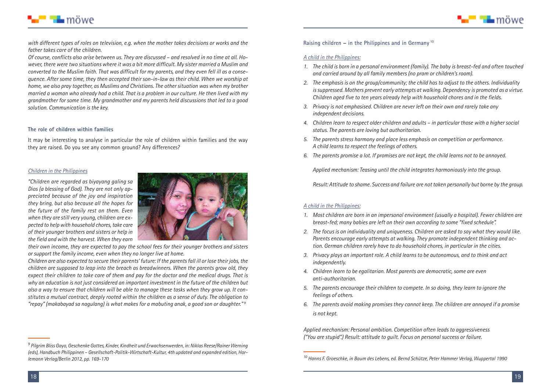



*with different types of roles on television, e.g. when the mother takes decisions or works and the father takes care of the children.*

Of course, conflicts also arise between us. They are discussed - and resolved in no time at all. Ho*wever, there were two situations where it was a bit more difficult. My sister married a Muslim and* converted to the Muslim faith. That was difficult for my parents, and they even fell ill as a conse*quence. After some time, they then accepted their son-in-law as their child. When we worship at home, we also pray together, as Muslims and Christians. The other situation was when my brother* married a woman who already had a child. That is a problem in our culture. He then lived with my *grandmother for some time. My grandmother and my parents held discussions that led to a good solution. Communication is the key.*

#### **The role of children within families**

It may be interesting to analyse in particular the role of children within families and the way they are raised. Do you see any common ground? Any differences?

#### *Children in the Philippines*

*"Children are regarded as biyayang galing sa Dios (a blessing of God). They are not only appreciated because of the joy and inspiration they bring, but also because all the hopes for the future of the family rest on them. Even when they are still very young, children are expected to helpwith household chores,take care of their younger brothers and sisters or help in the field and with the harvest. When they earn*



*their own income, they are expected to pay the school fees for their younger brothers and sisters or support the family income, even when they no longer live at home.*

Children are also expected to secure their parents' future: If the parents fall ill or lose their jobs, the *children are supposed to leap into the breach as breadwinners. When the parents grow old, they* expect their children to take care of them and pay for the doctor and the medical drugs. That is *why an education is not just considered an important investment in the future of the children but* also a way to ensure that children will be able to manage these tasks when they grow up. It con*stitutes a mutual contract, deeply rooted within the children as a sense of duty. The obligation to "repay" (makabayad sa nagulang) is what makes for a mabuting anak, a good son or daughter." <sup>9</sup>*

**Raising children – in the Philippines and in Germany <sup>10</sup>**

#### *A child in the Philippines:*

- *1. The child is born in a personal environment (family). The baby is breast-fed and often touched and carried around by all family members (no pram or children's room).*
- *2. The emphasis is on the group/community; the child has to adjust to the others. Individuality issuppressed. Mothers prevent early attempts atwalking. Dependency is promoted as a virtue. Children aged five to ten years already help with household chores and in the fields.*
- *3. Privacy is not emphasised. Children are never left on their own and rarely take any independent decisions.*
- *4. Children learn to respect older children and adults – in particular those with a higher social status. The parents are loving but authoritarian.*
- *5. The parents stress harmony and place less emphasis on competition or performance. A child learns to respect the feelings of others.*
- *6. The parents promise a lot. If promises are not kept, the child learns not to be annoyed.*

*Applied mechanism: Teasing until the child integrates harmoniously into the group.*

*Result: Attitude to shame. Success and failure are not taken personally but borne by the group.*

#### *A child in the Philippines:*

- *1. Most children are born in an impersonal environment (usually a hospital). Fewer children are breast-fed; many babies are left on their own according to some "fixed schedule".*
- *2. The focus is on individuality and uniqueness. Children are asked to say what they would like. Parents encourage early attempts at walking. They promote independent thinking and action. German children rarely have to do household chores, in particular in the cities.*
- *3. Privacy plays an important role. A child learns to be autonomous, and to think and act independently.*
- *4. Children learn to be egalitarian. Most parents are democratic, some are even anti-authoritarian.*
- *5. The parents encourage their children to compete. In so doing, they learn to ignore the feelings of others.*
- *6. The parents avoid making promises they cannot keep. The children are annoyed if a promise is not kept.*

*Applied mechanism: Personal ambition. Competition often leads to aggressiveness ("You are stupid".) Result: attitude to guilt. Focus on personal success or failure.*

*<sup>9</sup> Pilgrim Bliss Gayo, Geschenke Gottes, Kinder, Kindheit und Erwachsenwerden, in: Niklas Reese/Rainer Werning (eds), Handbuch Philippinen – Gesellschaft-Politik-Wirtschaft-Kultur, 4th updated and expanded edition, Hor-*10 lemann Verlag/Berlin 2012, pp. 169-170 **State of the Contract Contract Contract Contract Contract Contract Contract Contract Contract Contract Contract Contract Contract Contract Contract Contract Contract Contract Cont**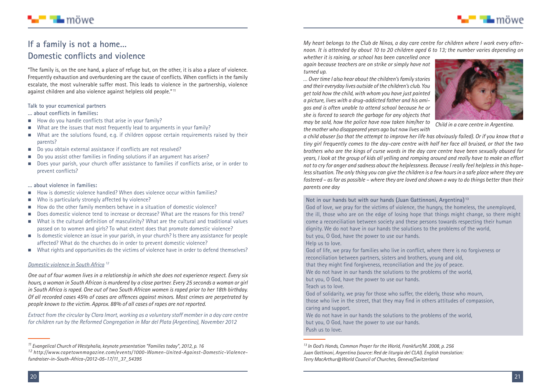

## ■ ¶∎ möwe

### **If a family is not a home… Domestic conflicts and violence**

"The family is, on the one hand, a place of refuge but, on the other, it is also a place of violence. Frequently exhaustion and overburdening are the cause of conflicts. When conflicts in the family escalate, the most vulnerable suffer most. This leads to violence in the partnership, violence against children and also violence against helpless old people." <sup>11</sup>

#### **Talk to your ecumenical partners**

**… about conflicts in families:**

- **E** How do you handle conflicts that arise in your family?
- $\blacksquare$  What are the issues that most frequently lead to arguments in your family?
- -What are the solutions found, e.g. if children oppose certain requirements raised by their parents?
- $\quad \blacksquare \quad$  Do you obtain external assistance if conflicts are not resolved?
- -Do you assist other families in finding solutions if an argument has arisen?
- Does your parish, your church offer assistance to families if conflicts arise, or in order to prevent conflicts?

#### **… about violence in families:**

- -How is domestic violence handled? When does violence occur within families?
- -Who is particularly strongly affected by violence?
- -How do the other family members behave in a situation of domestic violence?
- -Does domestic violence tend to increase or decrease? What are the reasons for this trend?
- What is the cultural definition of masculinity? What are the cultural and traditional values passed on to women and girls? To what extent does that promote domestic violence?
- **IF** Is domestic violence an issue in your parish, in your church? Is there any assistance for people affected? What do the churches do in order to prevent domestic violence?
- What rights and opportunities do the victims of violence have in order to defend themselves?

#### *Domestic violence in South Africa <sup>12</sup>*

*One out of four women lives in a relationship in which she does not experience respect. Every six* hours, a woman in South African is murdered by a close partner. Every 25 seconds a woman or airl in South Africa is raped. One out of two South African women is raped prior to her 18th birthday. *Of all recorded cases 45% of cases are offences against minors. Most crimes are perpetrated by people known to the victim. Approx. 88% of all cases of rapes are not reported.*

*Extract from the circular by Clara Imort, working as a voluntary staff member in a day care centre for children run by the Reformed Congregation in Mar del Plata (Argentina), November 2012*

My heart belongs to the Club de Ninos, a day care centre for children where I work every afternoon. It is attended by about 10 to 20 children aged 6 to 13; the number varies depending on

*whether it is raining, or school has been cancelled once again because teachers are on strike or simply have not turned up.*

*…Over time I also hear aboutthe children'sfamily stories and their everyday lives outside ofthe children's club. You get told how the child, with whom you have just painted a picture, lives with a drug-addicted father and his amigos and is often unable to attend school because he or she is forced to search the garbage for any objects that may be sold, how the police have now taken him/her to the motherwho disappeared years ago but nowliveswith*



*Child in a care centre in Argentina.*

a child abuser (so that the attempt to improve her life has obviously failed). Or if you know that a *tiny girl frequently comes to the day-care centre with half her face all bruised, or that the two brothers who are the kings of curse words in the day care centre have been sexually abused for* years, I look at the group of kids all yelling and romping around and really have to make an effort *not to cry for anger and sadness about the helplessness. Because I really feel helplessin this hope*less situation. The only thing you can give the children is a few hours in a safe place where they are fostered – as far as possible – where they are loved and shown a way to do things better than their *parents one day*

#### **Not in our hands but with our hands (Juan Gattinnoni, Argentina) <sup>13</sup>**

God of love, we pray for the victims of violence, the hungry, the homeless, the unemployed, the ill, those who are on the edge of losing hope that things might change, so there might come a reconciliation between society and these persons towards respecting their human dignity. We do not have in our hands the solutions to the problems of the world, but you, O God, have the power to use our hands.

Help us to love.

God of life, we pray for families who live in conflict, where there is no forgiveness or reconciliation between partners, sisters and brothers, young and old, that they might find forgiveness, reconciliation and the joy of peace.

We do not have in our hands the solutions to the problems of the world,

but you, O God, have the power to use our hands.

Teach us to love.

God of solidarity, we pray for those who suffer, the elderly, those who mourn, those who live in the street, that they may find in others attitudes of compassion, caring and support.

We do not have in our hands the solutions to the problems of the world, but you, O God, have the power to use our hands. Push us to love.

*<sup>11</sup> Evangelical Church of Westphalia, keynote presentation "Families today", 2012, p. 16*

*<sup>12</sup> http://www.capetownmagazine.com/events/1000-Women-United-Against-Domestic-Violencefundraiser-in-South-Africa-/2012-05-17/11\_37\_54395*

*<sup>13</sup> In God's Hands, Common Prayer for the World, Frankfurt/M. 2008, p. 256 Juan Gattinoni, Argentina (source: Red de liturgia del CLAI). English translation: Terry MacArthur@World Council of Churches, Geneva/Switzerland*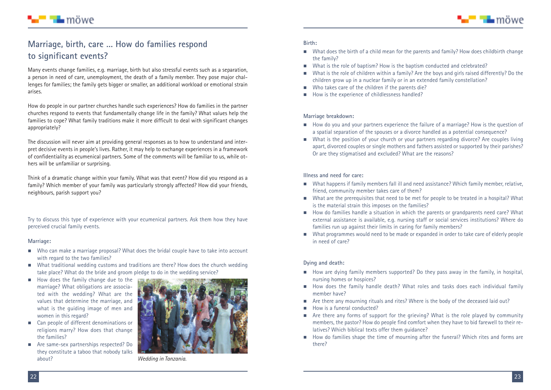

### **Marriage, birth, care … How do families respond to significant events?**

■ ¶∎ möwe

Many events change families, e.g. marriage, birth but also stressful events such as a separation, a person in need of care, unemployment, the death of a family member. They pose major challenges for families; the family gets bigger or smaller, an additional workload or emotional strain arises.

How do people in our partner churches handle such experiences? How do families in the partner churches respond to events that fundamentally change life in the family? What values help the families to cope? What family traditions make it more difficult to deal with significant changes appropriately?

The discussion will never aim at providing general responses as to how to understand and interpret decisive events in people's lives. Rather, it may help to exchange experiences in a framework of confidentiality as ecumenical partners. Some of the comments will be familiar to us, while others will be unfamiliar or surprising.

Think of a dramatic change within your family. What was that event? How did you respond as a family? Which member of your family was particularly strongly affected? How did your friends, neighbours, parish support you?

Try to discuss this type of experience with your ecumenical partners. Ask them how they have perceived crucial family events.

#### **Marriage:**

- Who can make a marriage proposal? What does the bridal couple have to take into account with regard to the two families?
- What traditional wedding customs and traditions are there? How does the church wedding take place? What do the bride and groom pledge to do in the wedding service?
- $\blacksquare$  How does the family change due to the marriage? What obligations are associated with the wedding? What are the values that determine the marriage, and what is the guiding image of men and women in this regard?
- Can people of different denominations or religions marry? How does that change the families?
- Are same-sex partnerships respected? Do they constitute a taboo that nobody talks about? *Wedding in Tanzania.*



#### **Birth:**

- What does the birth of a child mean for the parents and family? How does childbirth change the family?
- $\blacksquare$  What is the role of baptism? How is the baptism conducted and celebrated?
- - What is the role of children within a family? Are the boys and girls raised differently? Do the children grow up in a nuclear family or in an extended family constellation?
- $\blacksquare$  Who takes care of the children if the parents die?
- $\blacksquare$  How is the experience of childlessness handled?

#### **Marriage breakdown:**

- $\blacksquare$  How do you and your partners experience the failure of a marriage? How is the question of a spatial separation of the spouses or a divorce handled as a potential consequence?
- What is the position of your church or your partners regarding divorce? Are couples living apart, divorced couples or single mothers and fathers assisted or supported by their parishes? Or are they stigmatised and excluded? What are the reasons?

#### **Illness and need for care:**

- $\quad \blacksquare$  What happens if family members fall ill and need assistance? Which family member, relative, friend, community member takes care of them?
- What are the prerequisites that need to be met for people to be treated in a hospital? What is the material strain this imposes on the families?
- How do families handle a situation in which the parents or grandparents need care? What external assistance is available, e.g. nursing staff or social services institutions? Where do families run up against their limits in caring for family members?
- What programmes would need to be made or expanded in order to take care of elderly people in need of care?

#### **Dying and death:**

- **E** How are dying family members supported? Do they pass away in the family, in hospital, nursing homes or hospices?
- $\quad \blacksquare$  How does the family handle death? What roles and tasks does each individual family member have?
- Are there any mourning rituals and rites? Where is the body of the deceased laid out?
- **E** How is a funeral conducted?
- **E** Are there any forms of support for the grieving? What is the role played by community members, the pastor? How do people find comfort when they have to bid farewell to their relatives? Which biblical texts offer them guidance?
- **If How do families shape the time of mourning after the funeral? Which rites and forms are** there?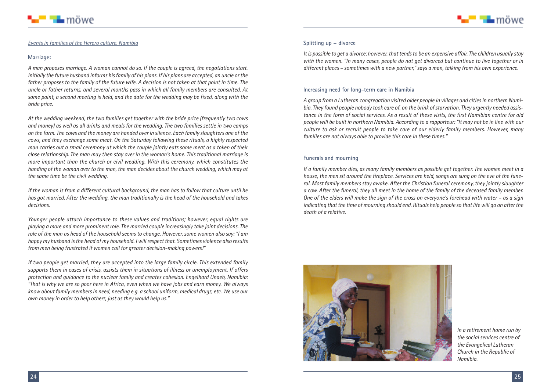



#### *Events in families of the Herero culture, Namibia*

#### **Marriage:**

*A man proposes marriage. A woman cannot do so. If the couple is agreed, the negotiations start.* Initially the future husband informs his family of his plans. If his plans are accepted, an uncle or the father proposes to the family of the future wife. A decision is not taken at that point in time. The *uncle or father returns, and several months pass in which all family members are consulted. At* some point, a second meeting is held, and the date for the wedding may be fixed, along with the *bride price.*

*At the wedding weekend, the two families get together with the bride price (frequently two cows* and money) as well as all drinks and meals for the wedding. The two families settle in two camps on the farm. The cows and the money are handed over in silence. Each family slaughters one of the *cows, and they exchange some meat. On the Saturday following these rituals, a highly respected* man carries out a small ceremony at which the couple jointly eats some meat as a token of their *close relationship. The man may then stay over in the woman's home. This traditional marriage is more important than the church or civil wedding. With this ceremony, which constitutes the handing of the woman over to the man, the man decides about the church wedding, which may at the same time be the civil wedding.*

*If the woman is from a different cultural background, the man has to follow that culture until he has got married. After the wedding, the man traditionally is the head of the household and takes decisions.*

*Younger people attach importance to these values and traditions; however, equal rights are playing a more and more prominent role. The married couple increasingly take joint decisions. The* role of the man as head of the household seems to change. However, some women also say: "I am *happy my husband isthe head of my household. Iwill respect that. Sometimes violence also results from men being frustrated if women call for greater decision-making powers!"*

*If two people get married, they are accepted into the large family circle. This extended family supports them in cases of crisis, assists them in situations of illness or unemployment. If offers protection and guidance to the nuclear family and creates cohesion. Engelhard Unaeb, Namibia:* "That is why we are so poor here in Africa, even when we have jobs and earn money. We always *know about family membersin need, needing e.g. a school uniform, medical drugs, etc. We use our own money in order to help others, just as they would help us."*

#### **Splitting up – divorce**

*Itis possible to get a divorce; however,thattendsto be an expensive affair. The children usually stay with the women. "In many cases, people do not get divorced but continue to live together or in different places – sometimes with a new partner," says a man, talking from his own experience.*

#### **Increasing need for long-term care in Namibia**

*A group from a Lutheran congregation visited older people in villages and citiesin northern Namibia. They found people nobody took care of, on the brink ofstarvation. They urgently needed assis*tance in the form of social services. As a result of these visits, the first Namibian centre for old people will be built in northern Namibia. According to a rapporteur: "It may not be in line with our *culture to ask or recruit people to take care of our elderly family members. However, many families are not always able to provide this care in these times."*

#### **Funerals and mourning**

*If a family member dies, as many family members as possible get together. The women meet in a* house, the men sit around the fireplace. Services are held, songs are sung on the eve of the fune*ral. Most family members stay awake. After the Christian funeral ceremony, they jointly slaughter* a cow. After the funeral, they all meet in the home of the family of the deceased family member. One of the elders will make the sign of the cross on everyone's forehead with water - as a sign indicating that the time of mourning should end. Rituals help people so that life will go on after the *death of a relative.*



*In a retirement home run by the social services centre of the Evangelical Lutheran Church in the Republic of Namibia.*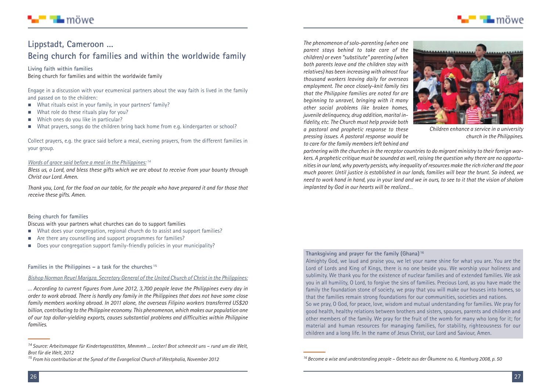

# ■ ¶∎ möwe

### **Lippstadt, Cameroon … Being church for families and within the worldwide family**

**Living faith within families** Being church for families and within the worldwide family

Engage in a discussion with your ecumenical partners about the way faith is lived in the family and passed on to the children:

- What rituals exist in your family, in your partners' family?
- **Netable 1** What role do these rituals play for you?
- -Which ones do you like in particular?
- What prayers, songs do the children bring back home from e.g. kindergarten or school?

Collect prayers, e.g. the grace said before a meal, evening prayers, from the different families in your group.

#### *Words of grace said before a meal in the Philippines: <sup>14</sup>*

*Bless us, o Lord, and bless these gifts which we are about to receive from your bounty through Christ our Lord. Amen.*

Thank you. Lord, for the food on our table, for the people who have prepared it and for those that *receive these gifts. Amen.*

#### **Being church for families**

Discuss with your partners what churches can do to support families

- What does your congregation, regional church do to assist and support families?
- **EXP** Are there any counselling and support programmes for families?
- Does your congregation support family-friendly policies in your municipality?

**Families in the Philippines – a task for the churches <sup>15</sup>**

#### *Bishop Norman Reuel Marigza, Secretary General of the United Church of Christ in the Philippines:*

*… According to current figures from June 2012, 3,700 people leave the Philippines every day in order to work abroad. There is hardly any family in the Philippines that does not have some close family members working abroad. In 2011 alone, the overseas Filipino workers transferred US\$20 billion, contributing to the Philippine economy. This phenomenon,which makes our population one of our top dollar-yielding exports, causes substantial problems and difficulties within Philippine families.*

*The phenomenon of solo-parenting (when one parent stays behind to take care of the children) or even "substitute" parenting (when both parents leave and the children stay with relatives) has been increasingwith almost four thousand workers leaving daily for overseas employment. The once closely-knit family ties that the Philippine families are noted for are beginning to unravel, bringing with it many other social problems like broken homes, juvenile delinquency, drug addition, marital infidelity, etc. The Church must help provide both a pastoral and prophetic response to these pressing issues. A pastoral response would be to care for the family members left behind and*



*Children enhance a service in a university church in the Philippines.*

*partnering with the churchesin the receptor countriesto do migrant ministry to their foreign workers. A prophetic critique must be sounded as well, raising the question why there are no opportunitiesin our land,why poverty persists,why inequality of resources make the rich richer and the poor much poorer. Until justice is established in our lands, families will bear the brunt. So indeed, we* need to work hand in hand, you in your land and we in ours, to see to it that the vision of shalom *implanted by God in our hearts will be realized…*

#### **Thanksgiving and prayer for the family (Ghana) <sup>16</sup>**

Almighty God, we laud and praise you, we let your name shine for what you are. You are the Lord of Lords and King of Kings, there is no one beside you. We worship your holiness and sublimity. We thank you for the existence of nuclear families and of extended families. We ask you in all humility, O Lord, to forgive the sins of families. Precious Lord, as you have made the family the foundation stone of society, we pray that you will make our houses into homes, so that the families remain strong foundations for our communities, societies and nations. So we pray, O God, for peace, love, wisdom and mutual understanding for families. We pray for good health, healthy relations between brothers and sisters, spouses, parents and children and other members of the family. We pray for the fruit of the womb for many who long for it; for material and human resources for managing families, for stability, righteousness for our children and a long life. In the name of Jesus Christ, our Lord and Saviour, Amen.

*<sup>14</sup> Source: Arbeitsmappe für Kindertagesstätten, Mmmmh ... Lecker! Brot schmeckt uns – rund um die Welt, Brot für die Welt, 2012*

*<sup>15</sup> From his contribution at the Synod of the Evangelical Church of Westphalia, November 2012*

*<sup>16</sup> Become a wise and understanding people – Gebete aus der Ökumene no. 6, Hamburg 2008, p. 50*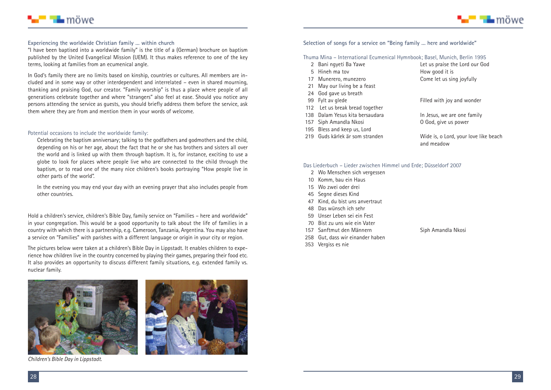



#### **Experiencing the worldwide Christian family … within church**

"I have been baptised into a worldwide family" is the title of a (German) brochure on baptism published by the United Evangelical Mission (UEM). It thus makes reference to one of the key terms, looking at families from an ecumenical angle.

In God's family there are no limits based on kinship, countries or cultures. All members are included and in some way or other interdependent and interrelated – even in shared mourning, thanking and praising God, our creator. "Family worship" is thus a place where people of all generations celebrate together and where "strangers" also feel at ease. Should you notice any persons attending the service as guests, you should briefly address them before the service, ask them where they are from and mention them in your words of welcome.

#### Potential occasions to include the worldwide family:

Celebrating the baptism anniversary; talking to the godfathers and godmothers and the child, depending on his or her age, about the fact that he or she has brothers and sisters all over the world and is linked up with them through baptism. It is, for instance, exciting to use a globe to look for places where people live who are connected to the child through the baptism, or to read one of the many nice children's books portraying "How people live in other parts of the world".

In the evening you may end your day with an evening prayer that also includes people from other countries.

Hold a children's service, children's Bible Day, family service on "Families – here and worldwide" in your congregation. This would be a good opportunity to talk about the life of families in a country with which there is a partnership, e.g. Cameroon, Tanzania, Argentina. You may also have a service on "Families" with parishes with a different language or origin in your city or region.

The pictures below were taken at a children's Bible Day in Lippstadt. It enables children to experience how children live in the country concerned by playing their games, preparing their food etc. It also provides an opportunity to discuss different family situations, e.g. extended family vs. nuclear family.





*Children's Bible Day in Lippstadt.*

#### **Selection of songs for a service on "Being family … here and worldwide"**

Thuma Mina – International Ecumenical Hymnbook; Basel, Munich, Berlin 1995

- 
- $5$  Hineh ma toy
- 
- 21 May our living be a feast
- 24 God gave us breath
- 
- 112 Let us break bread together
- 
- 157 Siph Amandla Nkosi
- 195 Bless and keep us, Lord<br>219 Guds kärlek är som stranden
- 

2 Bani ngyeti Ba Yawe Let us praise the Lord our God<br>5 Hineh ma tov Correspondent How good it is 17 Munerero, munezero entranyo come let us sing joyfully

99 Fylt av glede Filled with joy and wonder

138 Dalam Yesus kita bersaudara<br>157 Siph Amandla Nkosi **In America Contains Contains O** God, give us power

Wide is, o Lord, your love like beach and meadow

#### Das Liederbuch – Lieder zwischen Himmel und Erde; Düsseldorf 2007

- 2 Wo Menschen sich vergessen
- 10 Komm, bau ein Haus
- 15 Wo zwei oder drei
- 45 Segne dieses Kind
- 47 Kind, du bist uns anvertraut
- 48 Das wünsch ich sehr
- 59 Unser Leben sei ein Fest
- 70 Bist zu uns wie ein Vater
- 157 Sanftmut den Männern Siph Amandla Nkosi
- 258 Gut, dass wir einander haben
- 353 Vergiss es nie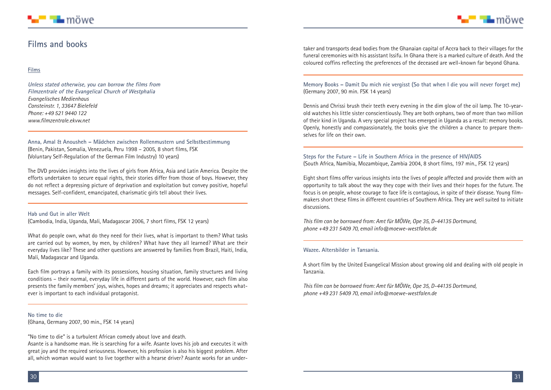### **Films and books**

#### **Films**

**Unless stated otherwise, you can borrow the films from Filmzentrale of the Evangelical Church of Westphalia** *Evangelisches Medienhaus Cansteinstr. 1, 33647 Bielefeld Phone: +49 521 9440 122 www.filmzentrale.ekvw.net*

**Anna, Amal & Anousheh – Mädchen zwischen Rollenmustern und Selbstbestimmung** (Benin, Pakistan, Somalia, Venezuela, Peru 1998 – 2005, 8 short films, FSK (Voluntary Self-Regulation of the German Film Industry) 10 years)

The DVD provides insights into the lives of girls from Africa, Asia and Latin America. Despite the efforts undertaken to secure equal rights, their stories differ from those of boys. However, they do not reflect a depressing picture of deprivation and exploitation but convey positive, hopeful messages. Self-confident, emancipated, charismatic girls tell about their lives.

#### **Hab und Gut in aller Welt**

(Cambodia, India, Uganda, Mali, Madagascar 2006, 7 short films, FSK 12 years)

What do people own, what do they need for their lives, what is important to them? What tasks are carried out by women, by men, by children? What have they all learned? What are their everyday lives like? These and other questions are answered by families from Brazil, Haiti, India, Mali, Madagascar and Uganda.

Each film portrays a family with its possessions, housing situation, family structures and living conditions – their normal, everyday life in different parts of the world. However, each film also presents the family members' joys, wishes, hopes and dreams; it appreciates and respects whatever is important to each individual protagonist.

**No time to die** (Ghana, Germany 2007, 90 min., FSK 14 years)

"No time to die" is a turbulent African comedy about love and death.

Asante is a handsome man. He is searching for a wife. Asante loves his job and executes it with great joy and the required seriousness. However, his profession is also his biggest problem. After all, which woman would want to live together with a hearse driver? Asante works for an undertaker and transports dead bodies from the Ghanaian capital of Accra back to their villages for the funeral ceremonies with his assistant Issifu. In Ghana there is a marked culture of death. And the coloured coffins reflecting the preferences of the deceased are well-known far beyond Ghana.

**Memory Books – Damit Du mich nie vergisst (So that when I die you will never forget me)** (Germany 2007, 90 min. FSK 14 years)

Dennis and Chrissi brush their teeth every evening in the dim glow of the oil lamp. The 10-yearold watches his little sister conscientiously. They are both orphans, two of more than two million of their kind in Uganda. A very special project has emerged in Uganda as a result: memory books. Openly, honestly and compassionately, the books give the children a chance to prepare themselves for life on their own.

**Steps for the Future – Life in Southern Africa in the presence of HIV/AIDS** (South Africa, Namibia, Mozambique, Zambia 2004, 8 short films, 197 min., FSK 12 years)

Eight short films offer various insights into the lives of people affected and provide them with an opportunity to talk about the way they cope with their lives and their hopes for the future. The focus is on people, whose courage to face life is contagious, in spite of their disease. Young filmmakers short these films in different countries of Southern Africa. They are well suited to initiate discussions.

*This film can be borrowed from: Amt für MÖWe, Ope 35, D-44135 Dortmund, phone +49 231 5409 70, email info@moewe-westfalen.de*

#### **Wazee. Altersbilder in Tansania.**

A short film by the United Evangelical Mission about growing old and dealing with old people in Tanzania.

*This film can be borrowed from: Amt für MÖWe, Ope 35, D-44135 Dortmund, phone +49 231 5409 70, email info@moewe-westfalen.de*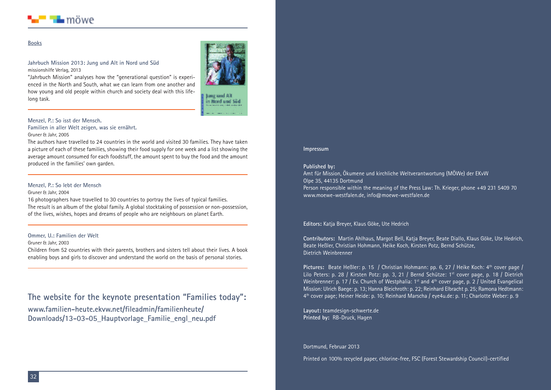

#### **Books**

#### **Jahrbuch Mission 2013: Jung und Alt in Nord und Süd** missionshilfe Verlag, 2013



"Jahrbuch Mission" analyses how the "generational question" is experienced in the North and South, what we can learn from one another and how young and old people within church and society deal with this lifelong task.

lung und Alt in Nord and Sid

#### **Menzel, P.: So isst der Mensch.**

**Familien in aller Welt zeigen, was sie ernährt.** Gruner & Jahr, 2005

The authors have travelled to 24 countries in the world and visited 30 families. They have taken a picture of each of these families, showing their food supply for one week and a list showing the average amount consumed for each foodstuff, the amount spent to buy the food and the amount produced in the families' own garden.

#### **Menzel, P.: So lebt der Mensch**

#### Gruner & Jahr, 2004

16 photographers have travelled to 30 countries to portray the lives of typical families. The result is an album of the global family. A global stocktaking of possession or non-possession, of the lives, wishes, hopes and dreams of people who are neighbours on planet Earth.

#### **Ommer, U.: Familien der Welt**

#### Gruner & Jahr, 2003

Children from 52 countries with their parents, brothers and sisters tell about their lives. A book enabling boys and girls to discover and understand the world on the basis of personal stories.

**The website for the keynote presentation "Families today": www.familien-heute.ekvw.net/fileadmin/familienheute/ Downloads/13-03-05\_Hauptvorlage\_Familie\_engl\_neu.pdf**

#### **Impressum**

#### **Published by:**

Amt für Mission, Ökumene und kirchliche Weltverantwortung (MÖWe) der EKvW Olpe 35, 44135 Dortmund Person responsible within the meaning of the Press Law: Th. Krieger, phone +49 231 5409 70 www.moewe-westfalen.de, info@moewe-westfalen.de

#### **Editors:** Katja Breyer, Klaus Göke, Ute Hedrich

**Contributors:** Martin Ahlhaus, Margot Bell, Katja Breyer, Beate Diallo, Klaus Göke, Ute Hedrich, Beate Heßler, Christian Hohmann, Heike Koch, Kirsten Potz, Bernd Schütze, Dietrich Weinbrenner

Pictures: Beate Heßler: p. 15 / Christian Hohmann: pp. 6, 27 / Heike Koch: 4<sup>th</sup> cover page / Lilo Peters: p. 28 / Kirsten Potz: pp. 3, 21 / Bernd Schütze: 1st cover page, p. 18 / Dietrich Weinbrenner: p. 17 / Ev. Church of Westphalia: 1st and 4<sup>th</sup> cover page, p. 2 / United Evangelical Mission: Ulrich Baege: p. 13; Hanna Bleichroth: p. 22; Reinhard Elbracht p. 25; Ramona Hedtmann: 4th cover page; Heiner Heide: p. 10; Reinhard Marscha / eye4u.de: p. 11; Charlotte Weber: p. 9

**Layout:** teamdesign-schwerte.de **Printed by:** RB-Druck, Hagen

Dortmund, Februar 2013

Printed on 100% recycled paper, chlorine-free, FSC (Forest Stewardship Council)-certified